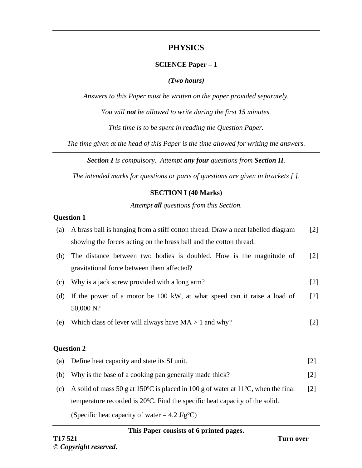# **PHYSICS**

# **SCIENCE Paper – 1**

#### *(Two hours)*

*Answers to this Paper must be written on the paper provided separately.*

*You will not be allowed to write during the first 15 minutes.*

*This time is to be spent in reading the Question Paper.*

*The time given at the head of this Paper is the time allowed for writing the answers.*

*Section I is compulsory. Attempt any four questions from Section II.*

*The intended marks for questions or parts of questions are given in brackets [ ].*

## **SECTION I (40 Marks)**

*Attempt all questions from this Section.*

#### **Question 1**

| (a) | A brass ball is hanging from a stiff cotton thread. Draw a neat labelled diagram    | $[2]$             |
|-----|-------------------------------------------------------------------------------------|-------------------|
|     | showing the forces acting on the brass ball and the cotton thread.                  |                   |
| (b) | The distance between two bodies is doubled. How is the magnitude of                 | $\lceil 2 \rceil$ |
|     | gravitational force between them affected?                                          |                   |
| (c) | Why is a jack screw provided with a long arm?                                       | $[2]$             |
| (d) | If the power of a motor be 100 kW, at what speed can it raise a load of             | $\lceil 2 \rceil$ |
|     | 50,000 N?                                                                           |                   |
| (e) | Which class of lever will always have $MA > 1$ and why?                             | $[2]$             |
|     |                                                                                     |                   |
|     | <b>Question 2</b>                                                                   |                   |
| (a) | Define heat capacity and state its SI unit.                                         | $[2]$             |
| (b) | Why is the base of a cooking pan generally made thick?                              | $[2]$             |
| (c) | A solid of mass 50 g at 150 °C is placed in 100 g of water at 11 °C, when the final | $[2]$             |
|     |                                                                                     |                   |

temperature recorded is 20°C. Find the specific heat capacity of the solid.

(Specific heat capacity of water =  $4.2 \text{ J/g}^{\circ}\text{C}$ )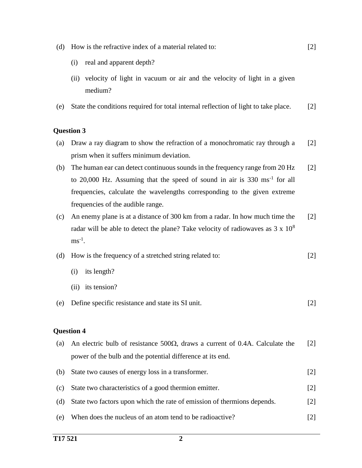- (d) How is the refractive index of a material related to:
	- (i) real and apparent depth?
	- (ii) velocity of light in vacuum or air and the velocity of light in a given medium?

[2]

(e) State the conditions required for total internal reflection of light to take place. [2]

#### **Question 3**

- (a) Draw a ray diagram to show the refraction of a monochromatic ray through a prism when it suffers minimum deviation. [2]
- (b) The human ear can detect continuous sounds in the frequency range from 20 Hz to 20,000 Hz. Assuming that the speed of sound in air is 330 ms<sup>-1</sup> for all frequencies, calculate the wavelengths corresponding to the given extreme frequencies of the audible range. [2]
- (c) An enemy plane is at a distance of 300 km from a radar. In how much time the radar will be able to detect the plane? Take velocity of radiowaves as  $3 \times 10^8$  $ms^{-1}$ . [2]
- (d) How is the frequency of a stretched string related to: [2]
	- (i) its length?
	- (ii) its tension?
- (e) Define specific resistance and state its SI unit. [2]

| (a) | An electric bulb of resistance 500 $\Omega$ , draws a current of 0.4A. Calculate the | $\lceil 2 \rceil$ |
|-----|--------------------------------------------------------------------------------------|-------------------|
|     | power of the bulb and the potential difference at its end.                           |                   |
| (b) | State two causes of energy loss in a transformer.                                    | $\lceil 2 \rceil$ |
| (c) | State two characteristics of a good thermion emitter.                                | $\lceil 2 \rceil$ |
| (d) | State two factors upon which the rate of emission of thermions depends.              | $\lceil 2 \rceil$ |
| (e) | When does the nucleus of an atom tend to be radioactive?                             | $\lceil 2 \rceil$ |
|     |                                                                                      |                   |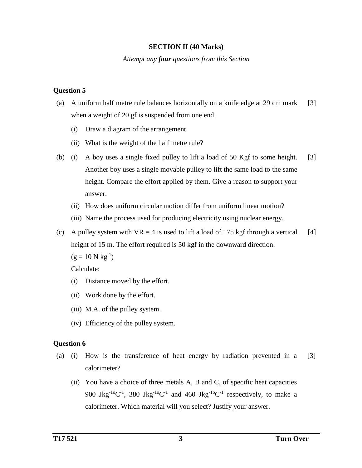#### **SECTION II (40 Marks)**

*Attempt any four questions from this Section*

## **Question 5**

- (a) A uniform half metre rule balances horizontally on a knife edge at 29 cm mark when a weight of 20 gf is suspended from one end. [3]
	- (i) Draw a diagram of the arrangement.
	- (ii) What is the weight of the half metre rule?
- (b) (i) A boy uses a single fixed pulley to lift a load of 50 Kgf to some height. Another boy uses a single movable pulley to lift the same load to the same height. Compare the effort applied by them. Give a reason to support your answer. [3]
	- (ii) How does uniform circular motion differ from uniform linear motion?
	- (iii) Name the process used for producing electricity using nuclear energy.
- (c) A pulley system with  $VR = 4$  is used to lift a load of 175 kgf through a vertical height of 15 m. The effort required is 50 kgf in the downward direction. [4]

 $(g = 10 N kg^{-1})$ 

Calculate:

- (i) Distance moved by the effort.
- (ii) Work done by the effort.
- (iii) M.A. of the pulley system.
- (iv) Efficiency of the pulley system.

- (a) (i) How is the transference of heat energy by radiation prevented in a calorimeter? [3]
	- (ii) You have a choice of three metals A, B and C, of specific heat capacities 900 Jkg<sup>-1o</sup>C<sup>-1</sup>, 380 Jkg<sup>-1o</sup>C<sup>-1</sup> and 460 Jkg<sup>-1o</sup>C<sup>-1</sup> respectively, to make a calorimeter. Which material will you select? Justify your answer.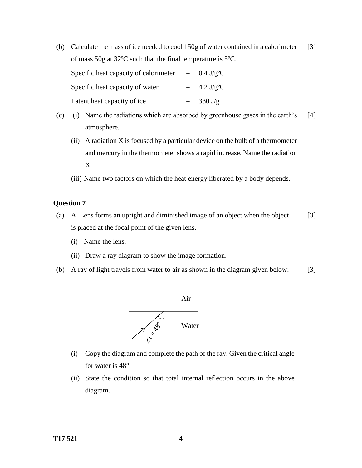(b) Calculate the mass of ice needed to cool 150g of water contained in a calorimeter of mass 50g at 32ºC such that the final temperature is 5ºC. [3]

| Specific heat capacity of calorimeter | $\equiv$ | $0.4 \text{ J/g}^{\circ}\text{C}$   |
|---------------------------------------|----------|-------------------------------------|
| Specific heat capacity of water       |          | $= 4.2 \text{ J/g}^{\circ}\text{C}$ |
| Latent heat capacity of ice           |          | $= 330 \text{ J/g}$                 |

- (c) (i) Name the radiations which are absorbed by greenhouse gases in the earth's atmosphere. [4]
	- (ii) A radiation X is focused by a particular device on the bulb of a thermometer and mercury in the thermometer shows a rapid increase. Name the radiation X.
	- (iii) Name two factors on which the heat energy liberated by a body depends.

- (a) A Lens forms an upright and diminished image of an object when the object is placed at the focal point of the given lens. [3]
	- (i) Name the lens.
	- (ii) Draw a ray diagram to show the image formation.
- (b) A ray of light travels from water to air as shown in the diagram given below: [3]



- (i) Copy the diagram and complete the path of the ray. Given the critical angle for water is 48°.
- (ii) State the condition so that total internal reflection occurs in the above diagram.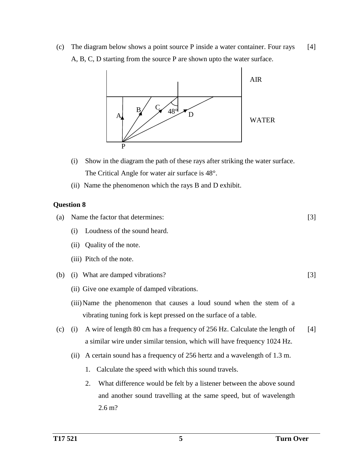(c) The diagram below shows a point source P inside a water container. Four rays A, B, C, D starting from the source P are shown upto the water surface. [4]



- (i) Show in the diagram the path of these rays after striking the water surface. The Critical Angle for water air surface is 48°.
- (ii) Name the phenomenon which the rays B and D exhibit.

# **Question 8**

(a) Name the factor that determines:

- (i) Loudness of the sound heard.
- (ii) Quality of the note.
- (iii) Pitch of the note.
- (b) (i) What are damped vibrations?
	- (ii) Give one example of damped vibrations.
	- (iii)Name the phenomenon that causes a loud sound when the stem of a vibrating tuning fork is kept pressed on the surface of a table.
- (c) (i) A wire of length 80 cm has a frequency of 256 Hz. Calculate the length of a similar wire under similar tension, which will have frequency 1024 Hz. [4]
	- (ii) A certain sound has a frequency of 256 hertz and a wavelength of 1.3 m.
		- 1. Calculate the speed with which this sound travels.
		- 2. What difference would be felt by a listener between the above sound and another sound travelling at the same speed, but of wavelength 2.6 m?

[3]

[3]